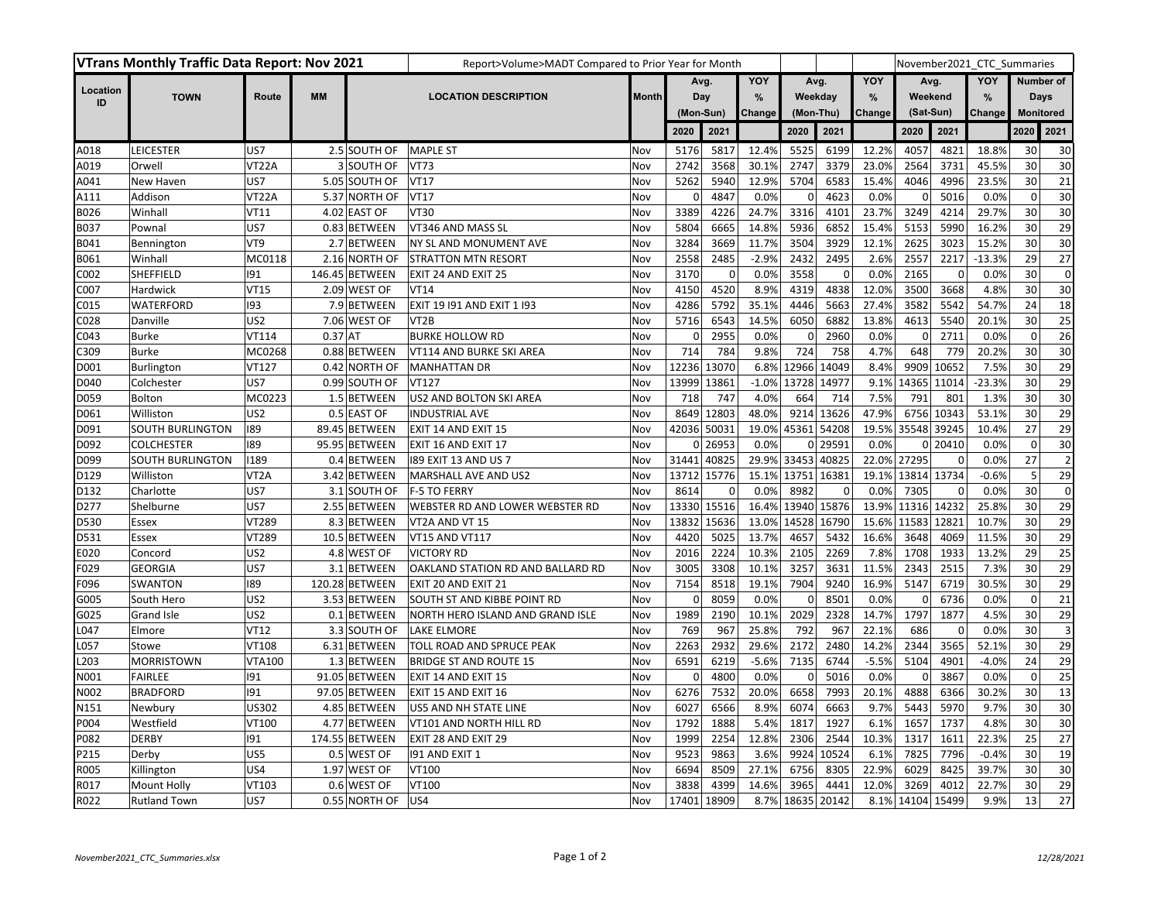| VTrans Monthly Traffic Data Report: Nov 2021 |                         |                   |           |                | Report>Volume>MADT Compared to Prior Year for Month |              |                          |             |         |             |                |               |             |             |          | November2021 CTC Summaries |                         |  |
|----------------------------------------------|-------------------------|-------------------|-----------|----------------|-----------------------------------------------------|--------------|--------------------------|-------------|---------|-------------|----------------|---------------|-------------|-------------|----------|----------------------------|-------------------------|--|
|                                              |                         |                   |           |                |                                                     |              | Avg.<br>Day<br>(Mon-Sun) |             | YOY     | Avg.        |                | YOY           | Avg.        |             | YOY      | Number of                  |                         |  |
| Location<br>ID                               | <b>TOWN</b>             | Route             | <b>MM</b> |                | <b>LOCATION DESCRIPTION</b>                         | <b>Month</b> |                          |             | %       | Weekday     |                | $\frac{9}{6}$ | Weekend     |             | %        | Days                       |                         |  |
|                                              |                         |                   |           |                |                                                     |              |                          |             | Change  | (Mon-Thu)   |                | Change        | (Sat-Sun)   |             | Change   |                            | <b>Monitored</b>        |  |
|                                              |                         |                   |           |                |                                                     |              | 2020                     | 2021        |         | 2020        | 2021           |               | 2020        | 2021        |          | 2020                       | 2021                    |  |
| A018                                         | <b>LEICESTER</b>        | US7               |           | 2.5 SOUTH OF   | <b>MAPLE ST</b>                                     | Nov          | 5176                     | 5817        | 12.4%   | 5525        | 6199           | 12.2%         | 4057        | 4821        | 18.8%    | 30                         | 30                      |  |
| A019                                         | Orwell                  | VT22A             |           | 3 SOUTH OF     | <b>VT73</b>                                         | Nov          | 2742                     | 3568        | 30.1%   | 2747        | 3379           | 23.0%         | 2564        | 3731        | 45.5%    | 30                         | 30                      |  |
| A041                                         | New Haven               | US7               |           | 5.05 SOUTH OF  | <b>VT17</b>                                         | Nov          | 5262                     | 5940        | 12.9%   | 5704        | 6583           | 15.4%         | 4046        | 4996        | 23.5%    | 30                         | 21                      |  |
| A111                                         | Addison                 | VT22A             |           | 5.37 NORTH OF  | <b>VT17</b>                                         | Nov          | 0                        | 4847        | 0.0%    | 0           | 4623           | 0.0%          | $\Omega$    | 5016        | 0.0%     | $\mathbf 0$                | 30                      |  |
| B026                                         | Winhall                 | VT11              |           | 4.02 EAST OF   | <b>VT30</b>                                         | Nov          | 3389                     | 4226        | 24.7%   | 3316        | 4101           | 23.7%         | 3249        | 4214        | 29.7%    | 30                         | 30                      |  |
| B037                                         | Pownal                  | US7               |           | 0.83 BETWEEN   | VT346 AND MASS SL                                   | Nov          | 5804                     | 6665        | 14.8%   | 5936        | 6852           | 15.4%         | 5153        | 5990        | 16.2%    | 30                         | 29                      |  |
| B041                                         | Bennington              | VT9               |           | 2.7 BETWEEN    | NY SL AND MONUMENT AVE                              | Nov          | 3284                     | 3669        | 11.7%   | 3504        | 3929           | 12.1%         | 2625        | 3023        | 15.2%    | 30                         | 30                      |  |
| B061                                         | Winhall                 | MC0118            |           | 2.16 NORTH OF  | <b>STRATTON MTN RESORT</b>                          | Nov          | 2558                     | 2485        | $-2.9%$ | 2432        | 2495           | 2.6%          | 2557        | 2217        | $-13.3%$ | 29                         | 27                      |  |
| C002                                         | SHEFFIELD               | 191               |           | 146.45 BETWEEN | EXIT 24 AND EXIT 25                                 | Nov          | 3170                     | $\mathbf 0$ | 0.0%    | 3558        | $\overline{0}$ | 0.0%          | 2165        | $\mathbf 0$ | 0.0%     | 30                         | $\mathbf 0$             |  |
| C007                                         | Hardwick                | <b>VT15</b>       |           | 2.09 WEST OF   | <b>VT14</b>                                         | Nov          | 4150                     | 4520        | 8.9%    | 4319        | 4838           | 12.0%         | 3500        | 3668        | 4.8%     | 30                         | 30                      |  |
| C015                                         | WATERFORD               | 193               |           | 7.9 BETWEEN    | EXIT 19 191 AND EXIT 1 193                          | Nov          | 4286                     | 5792        | 35.1%   | 4446        | 5663           | 27.4%         | 3582        | 5542        | 54.7%    | 24                         | 18                      |  |
| C028                                         | Danville                | US <sub>2</sub>   |           | 7.06 WEST OF   | VT <sub>2</sub> B                                   | Nov          | 5716                     | 6543        | 14.5%   | 6050        | 6882           | 13.8%         | 4613        | 5540        | 20.1%    | 30                         | 25                      |  |
| C043                                         | <b>Burke</b>            | VT114             | $0.37$ AT |                | <b>BURKE HOLLOW RD</b>                              | Nov          | 0                        | 2955        | 0.0%    | $\mathbf 0$ | 2960           | 0.0%          | 0           | 2711        | 0.0%     | $\mathbf 0$                | 26                      |  |
| C309                                         | <b>Burke</b>            | MC0268            |           | 0.88 BETWEEN   | VT114 AND BURKE SKI AREA                            | Nov          | 714                      | 784         | 9.8%    | 724         | 758            | 4.7%          | 648         | 779         | 20.2%    | 30                         | 30                      |  |
| D001                                         | Burlington              | VT127             |           | 0.42 NORTH OF  | <b>MANHATTAN DR</b>                                 | Nov          | 12236                    | 13070       |         | 6.8% 12966  | 14049          | 8.4%          | 9909        | 10652       | 7.5%     | 30                         | 29                      |  |
| D040                                         | Colchester              | US7               |           | 0.99 SOUTH OF  | VT127                                               | Nov          | 13999                    | 13861       | $-1.0%$ | 13728 14977 |                | 9.1%          | 14365       | 11014       | $-23.3%$ | 30                         | 29                      |  |
| D059                                         | <b>Bolton</b>           | MC0223            |           | 1.5 BETWEEN    | US2 AND BOLTON SKI AREA                             | Nov          | 718                      | 747         | 4.0%    | 664         | 714            | 7.5%          | 791         | 801         | 1.3%     | 30                         | 30                      |  |
| D061                                         | Williston               | US <sub>2</sub>   |           | 0.5 EAST OF    | <b>INDUSTRIAL AVE</b>                               | Nov          | 8649                     | 12803       | 48.0%   |             | 9214 13626     | 47.9%         | 6756        | 10343       | 53.1%    | 30                         | 29                      |  |
| D091                                         | <b>SOUTH BURLINGTON</b> | 189               |           | 89.45 BETWEEN  | EXIT 14 AND EXIT 15                                 | Nov          | 42036                    | 50031       | 19.0%   | 45361 54208 |                | 19.5%         | 35548       | 39245       | 10.4%    | 27                         | 29                      |  |
| D092                                         | <b>COLCHESTER</b>       | 189               |           | 95.95 BETWEEN  | <b>EXIT 16 AND EXIT 17</b>                          | Nov          | $\mathbf{0}$             | 26953       | 0.0%    |             | 0 29591        | 0.0%          | $\mathbf 0$ | 20410       | 0.0%     | $\mathbf 0$                | 30                      |  |
| D099                                         | <b>SOUTH BURLINGTON</b> | 1189              |           | 0.4 BETWEEN    | 189 EXIT 13 AND US 7                                | Nov          | 31441                    | 40825       |         | 29.9% 33453 | 40825          |               | 22.0% 27295 | $\mathbf 0$ | 0.0%     | 27                         | $\overline{2}$          |  |
| D129                                         | Williston               | VT <sub>2</sub> A |           | 3.42 BETWEEN   | MARSHALL AVE AND US2                                | Nov          | 13712                    | 15776       |         | 15.1% 13751 | 16381          | 19.1%         | 13814 13734 |             | $-0.6%$  | 5                          | 29                      |  |
| D132                                         | Charlotte               | US7               |           | 3.1 SOUTH OF   | <b>F-5 TO FERRY</b>                                 | Nov          | 8614                     | 0           | 0.0%    | 8982        | $\Omega$       | 0.0%          | 7305        | $\Omega$    | 0.0%     | 30                         | $\pmb{0}$               |  |
| D277                                         | Shelburne               | US7               |           | 2.55 BETWEEN   | WEBSTER RD AND LOWER WEBSTER RD                     | Nov          | 13330                    | 15516       | 16.4%   | 13940 15876 |                | 13.9%         | 11316 14232 |             | 25.8%    | 30                         | 29                      |  |
| D530                                         | Essex                   | VT289             |           | 8.3 BETWEEN    | VT2A AND VT 15                                      | Nov          | 13832                    | 15636       | 13.0%   | 14528       | 16790          | 15.6%         | 11583       | 12821       | 10.7%    | 30                         | 29                      |  |
| D531                                         | Essex                   | VT289             |           | 10.5 BETWEEN   | VT15 AND VT117                                      | Nov          | 4420                     | 5025        | 13.7%   | 4657        | 5432           | 16.6%         | 3648        | 4069        | 11.5%    | 30                         | 29                      |  |
| E020                                         | Concord                 | US <sub>2</sub>   |           | 4.8 WEST OF    | <b>VICTORY RD</b>                                   | Nov          | 2016                     | 2224        | 10.3%   | 2105        | 2269           | 7.8%          | 1708        | 1933        | 13.2%    | 29                         | 25                      |  |
| F029                                         | <b>GEORGIA</b>          | US7               |           | 3.1 BETWEEN    | OAKLAND STATION RD AND BALLARD RD                   | Nov          | 3005                     | 3308        | 10.1%   | 3257        | 3631           | 11.5%         | 2343        | 2515        | 7.3%     | 30                         | 29                      |  |
| F096                                         | <b>SWANTON</b>          | 189               |           | 120.28 BETWEEN | EXIT 20 AND EXIT 21                                 | Nov          | 7154                     | 8518        | 19.1%   | 7904        | 9240           | 16.9%         | 5147        | 6719        | 30.5%    | 30                         | 29                      |  |
| G005                                         | South Hero              | US <sub>2</sub>   |           | 3.53 BETWEEN   | <b>SOUTH ST AND KIBBE POINT RD</b>                  | Nov          | $\mathbf 0$              | 8059        | 0.0%    | $\mathbf 0$ | 8501           | 0.0%          | $\mathbf 0$ | 6736        | 0.0%     | $\mathbf 0$                | 21                      |  |
| G025                                         | Grand Isle              | US <sub>2</sub>   |           | 0.1 BETWEEN    | NORTH HERO ISLAND AND GRAND ISLE                    | Nov          | 1989                     | 2190        | 10.1%   | 2029        | 2328           | 14.7%         | 1797        | 1877        | 4.5%     | 30                         | 29                      |  |
| L047                                         | Elmore                  | <b>VT12</b>       |           | 3.3 SOUTH OF   | <b>LAKE ELMORE</b>                                  | Nov          | 769                      | 967         | 25.8%   | 792         | 967            | 22.1%         | 686         | 0           | 0.0%     | 30                         | $\overline{\mathbf{3}}$ |  |
| L057                                         | Stowe                   | <b>VT108</b>      |           | 6.31 BETWEEN   | TOLL ROAD AND SPRUCE PEAK                           | Nov          | 2263                     | 2932        | 29.6%   | 2172        | 2480           | 14.2%         | 2344        | 3565        | 52.1%    | 30                         | 29                      |  |
| L203                                         | <b>MORRISTOWN</b>       | <b>VTA100</b>     |           | 1.3 BETWEEN    | <b>BRIDGE ST AND ROUTE 15</b>                       | Nov          | 6591                     | 6219        | $-5.6%$ | 7135        | 6744           | $-5.5%$       | 5104        | 4901        | $-4.0%$  | 24                         | 29                      |  |
| N001                                         | <b>FAIRLEE</b>          | 191               |           | 91.05 BETWEEN  | EXIT 14 AND EXIT 15                                 | Nov          | 0                        | 4800        | 0.0%    | 0           | 5016           | 0.0%          | 0           | 3867        | 0.0%     | $\mathbf 0$                | 25                      |  |
| N002                                         | <b>BRADFORD</b>         | 191               |           | 97.05 BETWEEN  | EXIT 15 AND EXIT 16                                 | Nov          | 6276                     | 7532        | 20.0%   | 6658        | 7993           | 20.1%         | 4888        | 6366        | 30.2%    | 30                         | 13                      |  |
| N151                                         | Newbury                 | US302             |           | 4.85 BETWEEN   | US5 AND NH STATE LINE                               | Nov          | 6027                     | 6566        | 8.9%    | 6074        | 6663           | 9.7%          | 5443        | 5970        | 9.7%     | 30                         | 30                      |  |
| P004                                         | Westfield               | VT100             |           | 4.77 BETWEEN   | VT101 AND NORTH HILL RD                             | Nov          | 1792                     | 1888        | 5.4%    | 1817        | 1927           | 6.1%          | 1657        | 1737        | 4.8%     | 30                         | 30                      |  |
| P082                                         | <b>DERBY</b>            | 191               |           | 174.55 BETWEEN | <b>EXIT 28 AND EXIT 29</b>                          | Nov          | 1999                     | 2254        | 12.8%   | 2306        | 2544           | 10.3%         | 1317        | 1611        | 22.3%    | 25                         | 27                      |  |
| P215                                         | Derby                   | US5               |           | 0.5 WEST OF    | 191 AND EXIT 1                                      | Nov          | 9523                     | 9863        | 3.6%    | 9924        | 10524          | 6.1%          | 7825        | 7796        | $-0.4%$  | 30                         | 19                      |  |
| R005                                         | Killington              | US4               |           | 1.97 WEST OF   | VT100                                               | Nov          | 6694                     | 8509        | 27.1%   | 6756        | 8305           | 22.9%         | 6029        | 8425        | 39.7%    | 30                         | 30                      |  |
| R017                                         | Mount Holly             | VT103             |           | 0.6 WEST OF    | VT100                                               | Nov          | 3838                     | 4399        | 14.6%   | 3965        | 4441           | 12.0%         | 3269        | 4012        | 22.7%    | 30                         | 29                      |  |
| R022                                         | <b>Rutland Town</b>     | US7               |           | 0.55 NORTH OF  | lus <sub>4</sub>                                    | Nov          | 17401                    | 18909       | 8.7%    | 18635       | 20142          | 8.1%          | 14104       | 15499       | 9.9%     | 13                         | 27                      |  |